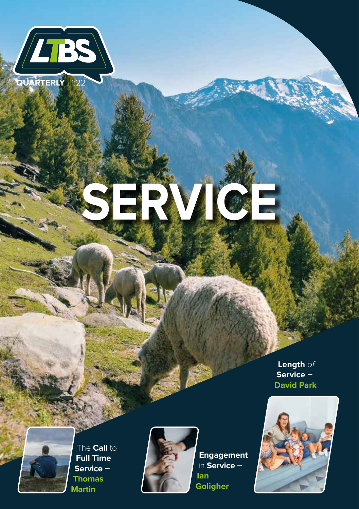

# SERVICE

**Length** *of* **Service** – **David Park**



The **Call** to **Full Time Service** – **Thomas Martin**



**Engagement**  in **Service** – **Ian Goligher**

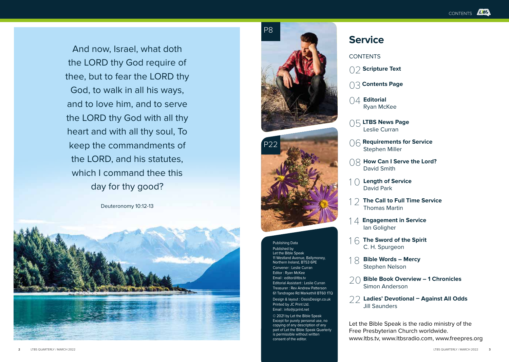And now, Israel, what doth the LORD thy God require of thee, but to fear the LORD thy God, to walk in all his ways, and to love him, and to serve the LORD thy God with all thy heart and with all thy soul, To keep the commandments of the LORD, and his statutes, which I command thee this day for thy good?

Deuteronomy 10:12-13





Publishing Data Published by Let the Bible Speak 11 Westland Avenue, Ballymoney, Northern Ireland, BT53 6PE Convener : Leslie Curran Editor : Ryan McKee Email : editor@ltbs.tv Editorial Assistant : Leslie Curran Treasurer : Rev Andrew Patterson 61 Tandragee Rd Markethill BT60 1TQ Design & layout : OasisDesign.co.uk Printed by JC Print Ltd. Email : info@jcprint.net

© 2021 by Let the Bible Speak Except for purely personal use, no copying of any description of any part of Let the Bible Speak Quarterly is permissible without written consent of the editor.

#### **Service**

**CONTENTS** 



03 **Contents Page**

04 **Editorial** Ryan McKee

0 5 **LTBS News Page** Leslie Curran

- 06 **Requirements for Service** Stephen Miller
- 08 **How Can I Serve the Lord?** David Smith
- 1 0 Length of Service David Park
- 1 2 **The Call to Full Time Service** Thomas Martin
- 1 4 **Engagement in Service** Ian Goligher
- 1 6 **The Sword of the Spirit** C. H. Spurgeon
- 1 8 **Bible Words Mercy** Stephen Nelson
- 20 **Bible Book Overview 1 Chronicles**  Simon Anderson
- 22 **Ladies' Devotional Against All Odds**  Jill Saunders

Let the Bible Speak is the radio ministry of the Free Presbyterian Church worldwide. www.ltbs.tv, www.ltbsradio.com, www.freepres.org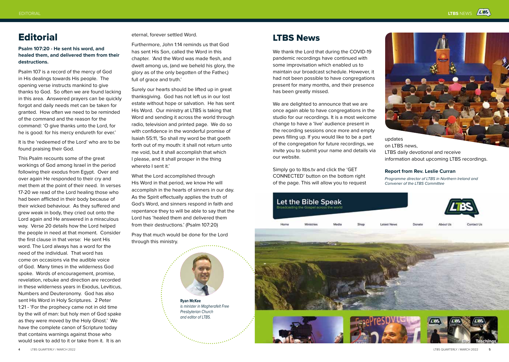#### **Editorial**

**Psalm 107:20 - He sent his word, and healed them, and delivered them from their destructions.**

Psalm 107 is a record of the mercy of God in His dealings towards His people. The opening verse instructs mankind to give thanks to God. So often we are found lacking in this area. Answered prayers can be quickly forgot and daily needs met can be taken for granted. How often we need to be reminded of the command and the reason for the command: 'O give thanks unto the Lord, for he is good: for his mercy endureth for ever.'

It is the 'redeemed of the Lord' who are to be found praising their God.

This Psalm recounts some of the great workings of God among Israel in the period following their exodus from Egypt. Over and over again He responded to their cry and met them at the point of their need. In verses 17-20 we read of the Lord healing those who had been afflicted in their body because of their wicked behaviour. As they suffered and grew weak in body, they cried out onto the Lord again and He answered in a miraculous way. Verse 20 details how the Lord helped the people in need at that moment. Consider the first clause in that verse: He sent His word. The Lord always has a word for the need of the individual. That word has come on occasions via the audible voice of God. Many times in the wilderness God spoke. Words of encouragement, promise, revelation, rebuke and direction are recorded in these wilderness years in Exodus, Leviticus, Numbers and Deuteronomy. God has also sent His Word in Holy Scriptures. 2 Peter 1:21 - 'For the prophecy came not in old time by the will of man: but holy men of God spake as they were moved by the Holy Ghost.' We have the complete canon of Scripture today that contains warnings against those who would seek to add to it or take from it. It is an

#### eternal, forever settled Word.

Furthermore, John 1:14 reminds us that God has sent His Son, called the Word in this chapter. 'And the Word was made flesh, and dwelt among us, (and we beheld his glory, the glory as of the only begotten of the Father,) full of grace and truth.'

Surely our hearts should be lifted up in great thanksgiving. God has not left us in our lost estate without hope or salvation. He has sent His Word. Our ministry at LTBS is taking that Word and sending it across the world through radio, television and printed page. We do so with confidence in the wonderful promise of Isaiah 55:11, 'So shall my word be that goeth forth out of my mouth: it shall not return unto me void, but it shall accomplish that which I please, and it shall prosper in the thing whereto I sent it.'

What the Lord accomplished through His Word in that period, we know He will accomplish in the hearts of sinners in our day. As the Spirit effectually applies the truth of God's Word, and sinners respond in faith and repentance they to will be able to say that the Lord has 'healed them and delivered them from their destructions.' (Psalm 107:20)

Pray that much would be done for the Lord through this ministry.



#### LTBS News

We thank the Lord that during the COVID-19 pandemic recordings have continued with some improvisation which enabled us to maintain our broadcast schedule. However, it had not been possible to have congregations present for many months, and their presence has been greatly missed.

We are delighted to announce that we are once again able to have congregations in the studio for our recordings. It is a most welcome change to have a 'live' audience present in the recording sessions once more and empty pews filling up. If you would like to be a part of the congregation for future recordings, we invite you to submit your name and details via our website.

Simply go to ltbs.tv and click the 'GET CONNECTED' button on the bottom right of the page. This will allow you to request



updates on LTBS news, LTBS daily devotional and receive information about upcoming LTBS recordings.

#### **Report from Rev. Leslie Curran**

*Programme director of LTBS in Northern Ireland and Convener of the LTBS Committee*

| Let the Bible Speak<br>Broadcasting the Gospel across the world |                   |       |      |                    |        |          |            |
|-----------------------------------------------------------------|-------------------|-------|------|--------------------|--------|----------|------------|
| Home                                                            | <b>Ministries</b> | Media | Shop | <b>Latest News</b> | Donate | About Us | Contact Us |

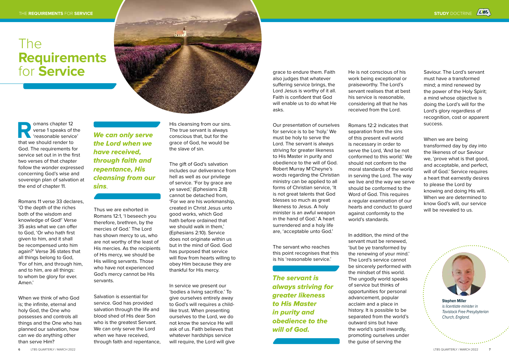### The **Requirements** for **Service**



**Romans chapter 12**<br>
verse 1 speaks of t<br>
that we should render to verse 1 speaks of the 'reasonable service' God. The requirements for service set out in in the first two verses of that chapter follow the wonder expressed concerning God's wise and sovereign plan of salvation at the end of chapter 11.

Romans 11 verse 33 declares, 'O the depth of the riches both of the wisdom and knowledge of God!' Verse 35 asks what we can offer to God, 'Or who hath first given to him, and it shall be recompensed unto him again?' Verse 36 states that all things belong to God, 'For of him, and through him, and to him, are all things: to whom be glory for ever. Amen.'

When we think of who God is; the infinite, eternal and holy God, the One who possesses and controls all things and the One who has planned our salvation, how can we do anything other than serve Him?

*We can only serve the Lord when we have received, through faith and repentance, His cleansing from our sins*.

Thus we are exhorted in Romans 12:1, 'I beseech you therefore, brethren, by the mercies of God.' The Lord has shown mercy to us, who are not worthy of the least of His mercies. As the recipients of His mercy, we should be His willing servants. Those who have not experienced God's mercy cannot be His servants.

Salvation is essential for service. God has provided salvation through the life and blood shed of His dear Son who is the greatest Servant. We can only serve the Lord when we have received, through faith and repentance, His cleansing from our sins. The true servant is always conscious that, but for the grace of God, he would be the slave of sin.

The gift of God's salvation includes our deliverance from hell as well as our privilege of service. 'For by grace are ye saved,' (Ephesians 2:8) cannot be detached from, 'For we are his workmanship, created in Christ Jesus unto good works, which God hath before ordained that we should walk in them,' (Ephesians 2:10). Service does not originate within us but in the mind of God. God has purposed that service will flow from hearts willing to obey Him because they are thankful for His mercy.

In service we present our 'bodies a living sacrifice.' To give ourselves entirely away to God's will requires a childlike trust. When presenting ourselves to the Lord, we do not know the service He will ask of us. Faith believes that whatever hardships service will require, the Lord will give

grace to endure them. Faith also judges that whatever suffering service brings, the Lord Jesus is worthy of it all. Faith is confident that God will enable us to do what He asks.

Our presentation of ourselves for service is to be 'holy.' We must be holy to serve the Lord. The servant is always striving for greater likeness to His Master in purity and obedience to the will of God. Robert Murray M'Cheyne's words regarding the Christian ministry can be applied to all forms of Christian service, 'It is not great talents that God blesses so much as great likeness to Jesus. A holy minister is an awful weapon in the hand of God.' A heart surrendered and a holy life are, 'acceptable unto God.'

The servant who reaches this point recognises that this is his 'reasonable service.'

*The servant is always striving for greater likeness to His Master in purity and obedience to the will of God.*

He is not conscious of his work being exceptional or praiseworthy. The Lord's servant realises that at best his service is reasonable, considering all that he has received from the Lord.

Romans 12:2 indicates that separation from the sins of this present evil world is necessary in order to serve the Lord, 'And be not conformed to this world.' We should not conform to the moral standards of the world in serving the Lord. The way we live and the way we serve should be conformed to the Word of God. This requires a regular examination of our hearts and conduct to guard against conformity to the world's standards.

In addition, the mind of the servant must be renewed, 'but be ye transformed by the renewing of your mind.' The Lord's service cannot be sincerely performed with the mindset of this world. The ungodly world speaks of service but thinks of opportunities for personal advancement, popular acclaim and a place in history. It is possible to be separated from the world's outward sins but have the world's spirit inwardly, promoting ourselves under the guise of serving the

Saviour. The Lord's servant must have a transformed mind; a mind renewed by the power of the Holy Spirit; a mind whose objective is doing the Lord's will for the Lord's glory regardless of recognition, cost or apparent success.

When we are being transformed day by day into the likeness of our Saviour we, 'prove what is that good, and acceptable, and perfect, will of God.' Service requires a heart that earnestly desires to please the Lord by knowing and doing His will. When we are determined to know God's will, our service will be revealed to us.



*is licentiate minister in Tavistock Free Presybyterian Church, England.*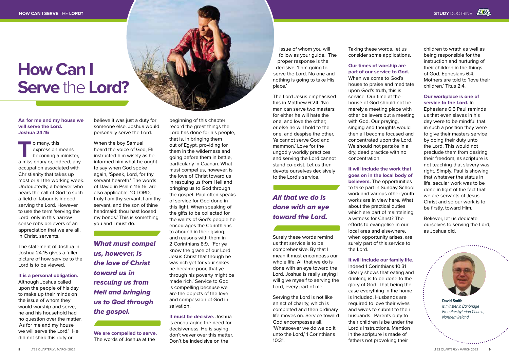# **How Can I Serve** the **Lord?**

**As for me and my house we will serve the Lord. Joshua 24:15** 

o many, this<br>
expression means<br>
becoming a minister,<br>
a missionary or, indeed, any expression means becoming a minister, occupation associated with Christianity that takes up most or all the working week. Undoubtedly, a believer who hears the call of God to such a field of labour is indeed serving the Lord. However to use the term 'serving the Lord' only in this narrow sense robs believers of an appreciation that we are all, in Christ, servants.

The statement of Joshua in Joshua 24:15 gives a fuller picture of how service to the Lord is to be viewed.

#### **It is a personal obligation.**

Although Joshua called upon the people of his day to make up their minds on the issue of whom they would worship and serve, he and his household had no question over the matter. 'As for me and my house we will serve the Lord.' He did not shirk this duty or

believe it was just a duty for someone else. Joshua would personally serve the Lord.

When the boy Samuel heard the voice of God, Eli instructed him wisely as he informed him what he ought to say when God spoke again, 'Speak, Lord, for thy servant heareth.' The words of David in Psalm 116:16 are also applicable: 'O LORD, truly I am thy servant; I am thy servant, and the son of thine handmaid: thou hast loosed my bonds.' This is something you and I must do.

*What must compel us, however, is the love of Christ toward us in rescuing us from Hell and bringing us to God through the gospel.*

**We are compelled to serve.** The words of Joshua at the

beginning of this chapter record the great things the Lord has done for his people, that is, in bringing them out of Egypt, providing for them in the wilderness and going before them in battle, particularly in Caanan. What must compel us, however, is the love of Christ toward us in rescuing us from Hell and bringing us to God through the gospel. Paul often speaks of service for God done in this light. When speaking of the gifts to be collected for the wants of God's people he encourages the Corinthians to abound in their giving, and reasons with them in 2 Corinthians 8:9, 'For ye know the grace of our Lord Jesus Christ that though he was rich yet for your sakes he became poor, that ye through his poverty might be made rich.' Service to God is compelling because we are the objects of the love and compassion of God in salvation.

**It must be decisive.** Joshua is encouraging the need for decisiveness. He is saying, don't waver over this matter. Don't be indecisive on the

issue of whom you will follow as your guide. The proper response is the decisive, 'I am going to serve the Lord. No one and nothing is going to take His place.'

The Lord Jesus emphasised this in Matthew 6:24: 'No man can serve two masters: for either he will hate the one, and love the other; or else he will hold to the one, and despise the other. Ye cannot serve God and mammon' Love for the ungodly worldly practices and serving the Lord cannot stand co-exist. Let us then devote ourselves decisively to the Lord's service.

#### *All that we do is done with an eye toward the Lord.*

Surely these words remind us that service is to be comprehensive. By that I mean it must encompass our whole life. All that we do is done with an eye toward the Lord. Joshua is really saying I will give myself to serving the Lord, every part of me.

Serving the Lord is not like an act of charity, which is completed and then ordinary life moves on. Service toward God encompasses all. 'Whatsoever we do we do it unto the Lord,' 1 Corinthians 10:31.

Taking these words, let us consider some applications.

**Our times of worship are part of our service to God.** When we come to God's

house to praise and meditate upon God's truth, this is service. Our time at the house of God should not be merely a meeting place with other believers but a meeting with God. Our praying, singing and thoughts would then all become focused and concentrated upon the Lord. We should not partake in a dry, dead practice with no concentration.

#### **It will include the work that goes on in the local body of believers.** The opportunities to take part in Sunday School work and various other youth works are in view here. What about the practical duties

which are part of maintaining a witness for Christ? The efforts to evangelise in our local area and elsewhere, when opportunity arises, are surely part of this service to the Lord.

**It will include our family life.**  Indeed 1 Corinthians 10:31 clearly shows that eating and drinking is to be done to the glory of God. That being the case everything in the home is included. Husbands are required to love their wives and wives to submit to their husbands. Parents duty to their children is be under the Lord's instructions. Mention in the scripture is made of fathers not provoking their

children to wrath as well as being responsible for the instruction and nurturing of their children in the things of God. Ephesians 6:4. Mothers are told to 'love their children.' Titus 2:4.

**LES** 

#### **Our workplace is one of service to the Lord.** In

Ephesians 6:5 Paul reminds us that even slaves in his day were to be mindful that in such a position they were to give their masters service by doing their duty unto the Lord. This would not preclude them from desiring their freedom, as scripture is not teaching that slavery was right. Simply, Paul is showing that whatever the status in life, secular work was to be done in light of the fact that we are servants of Jesus Christ and so our work is to be firstly, toward Him.

Believer, let us dedicate ourselves to serving the Lord, as Joshua did.



*is minster in Banbridge Free Presbyterian Church, Northern Ireland.*

8 LTBS QUARTERLY / MARCH 2022 LTBS QUARTERLY / MARCH 2022 9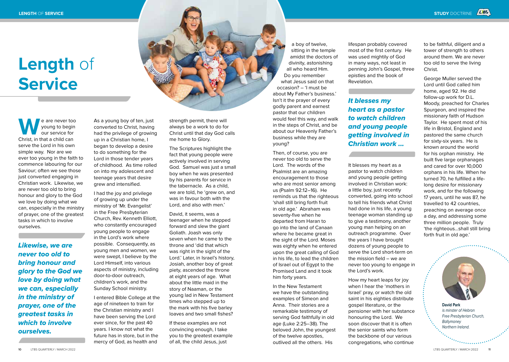# **Length** of **Service**



**W**e are never too<br>
young to begin<br>
christ, in that a child can young to begin our service for serve the Lord in his own simple way. Nor are we ever too young in the faith to commence labouring for our Saviour; often we see those just converted engaging in Christian work. Likewise, we are never too old to bring honour and glory to the God we love by doing what we can, especially in the ministry of prayer, one of the greatest tasks in which to involve ourselves.

*Likewise, we are never too old to bring honour and glory to the God we love by doing what we can, especially in the ministry of prayer, one of the greatest tasks in which to involve ourselves.* 

As a young boy of ten, just converted to Christ, having had the privilege of growing up in a Christian home, I began to develop a desire to do something for the Lord in those tender years of childhood. As time rolled on into my adolescent and teenage years that desire grew and intensified.

I had the joy and privilege of growing up under the ministry of 'Mr. Evangelist' in the Free Presbyterian Church, Rev. Kenneth Elliott, who constantly encouraged young people to engage in the Lord's work where possible. Consequently, as young men and women, we were swept, I believe by the Lord Himself, into various aspects of ministry, including door-to-door outreach, children's work, and the Sunday School ministry.

I entered Bible College at the age of nineteen to train for the Christian ministry and I have been serving the Lord ever since, for the past 40 years. I know not what the future has in store, but in the mercy of God, as health and

strength permit, there will always be a work to do for Christ until that day God calls me home to Glory.

The Scriptures highlight the fact that young people were actively involved in serving God. Samuel was just a small boy when he was presented by his parents for service in the tabernacle. As a child, we are told, he 'grew on, and was in favour both with the Lord, and also with men.'

David, it seems, was a teenager when he stepped forward and slew the giant Goliath. Joash was only seven when he came to the throne and 'did that which was right in the sight of the Lord.' Later, in Israel's history, Josiah, another boy of great piety, ascended the throne at eight years of age. What about the little maid in the story of Naaman, or the young lad in New Testament times who stepped up to the mark with his five barley loaves and two small fishes?

If these examples are not convincing enough, I take you to the greatest example of all, the child Jesus, just

a boy of twelve, sitting in the temple amidst the doctors of divinity, astonishing all who heard Him. Do you remember what Jesus said on that occasion? – 'I must be about My Father's business.' Isn't it the prayer of every godly parent and earnest pastor that our children would feel this way, and walk in the steps of Christ, and be about our Heavenly Father's business while they are young?

Then, of course, you are never too old to serve the Lord. The words of the Psalmist are an amazing encouragement to those who are most senior among us (Psalm 92:12–16). He reminds us that the righteous 'shall still bring forth fruit in old age.' Abraham was seventy-five when he departed from Haran to go into the land of Canaan where he became great in the sight of the Lord. Moses was eighty when he entered upon the great calling of God in his life, to lead the children of Israel out of Egypt to the Promised Land and it took him forty years.

In the New Testament we have the outstanding examples of Simeon and Anna. Their stories are a remarkable testimony of serving God faithfully in old age (Luke 2:25–38). The beloved John, the youngest of the twelve apostles, outlived all the others. His

lifespan probably covered most of the first century. He was used mightily of God in many ways, not least in penning John's Gospel, three epistles and the book of Revelation.

#### *It blesses my heart as a pastor to watch children and young people getting involved in Christian work ...*

It blesses my heart as a pastor to watch children and young people getting involved in Christian work: a little boy, just recently converted, going into school to tell his friends what Christ had done in his life, a young teenage woman standing up to give a testimony, another young man helping on an outreach programme. Over the years I have brought dozens of young people to serve the Lord short-term on the mission field – we are never too young to engage in the Lord's work.

How my heart leaps for joy when I hear the 'mothers in Israel' pray, or watch the old saint in his eighties distribute gospel literature, or the pensioner with her substance honouring the Lord. We soon discover that it is often the senior saints who form the backbone of our various congregations, who continue

to be faithful, diligent and a tower of strength to others around them. We are never too old to serve the living Christ.

George Muller served the Lord until God called him home, aged 92. He did follow-up work for D.L. Moody, preached for Charles Spurgeon, and inspired the missionary faith of Hudson Taylor. He spent most of his life in Bristol, England and pastored the same church for sixty-six years. He is known around the world for his orphan ministry. He built five large orphanages and cared for over 10,000 orphans in his life. When he turned 70, he fulfilled a lifelong desire for missionary work, and for the following 17 years, until he was 87, he travelled to 42 countries, preaching on average once a day, and addressing some three million people. Truly 'the righteous…shall still bring forth fruit in old age.'



**David Park** *is minster of Hebron Free Presbyterian Church, Ballymoney Northern Ireland.*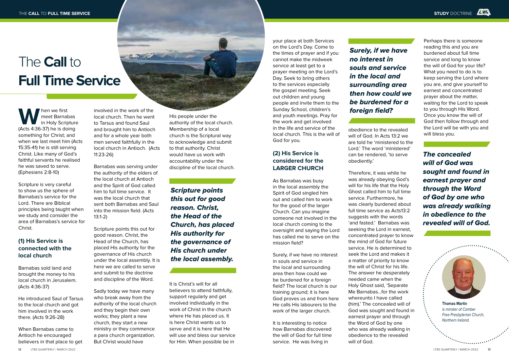### The **Call** to **Full Time Service**

**W** hen we first<br>
in Holy Scripture<br>
(Acts 4:36-37) he is doing meet Barnabas in Holy Scripture something for Christ; and when we last meet him (Acts 15:35-41) he is still serving Christ. Like many of God's faithful servants he realised he was saved to serve. (Ephesians 2:8-10)

Scripture is very careful to show us the sphere of Barnabas's service for the Lord. There are Biblical principles being taught when we study and consider the area of Barnabas's service for Christ.

#### **(1) His Service is connected with the local church**

Barnabas sold land and brought the money to his local church in Jerusalem. (Acts 4:36-37)

He introduced Saul of Tarsus to the local church and got him involved in the work there. (Acts 9:26-28)

When Barnabas came to Antioch he encouraged believers in that place to get involved in the work of the local church. Then he went to Tarsus and found Saul and brought him to Antioch and for a whole year both men served faithfully in the local church in Antioch. (Acts 11:23-26)

Barnabas was serving under the authority of the elders of the local church at Antioch and the Spirit of God called him to full time service. It was the local church that sent both Barnabas and Saul into the mission field. (Acts 13:1-2)

Scripture points this out for good reason. Christ, the Head of the Church, has placed His authority for the governance of His church under the local assembly. It is here we are called to serve and submit to the doctrine and discipline of the Word.

Sadly today we have many who break away from the authority of the local church and they begin their own works; they plant a new church, they start a new ministry or they commence a para church organization. But Christ would have

His people under the authority of the local church. Membership of a local church is the Scriptural way to acknowledge and submit to that authority. Christ would have us work with accountability under the discipline of the local church.

*Scripture points this out for good reason. Christ, the Head of the Church, has placed His authority for the governance of His church under the local assembly.* 

It is Christ's will for all believers to attend faithfully, support regularly and get involved individually in the work of Christ in the church where He has placed us. It is here Christ wants us to serve and it is here that He will use and bless our service for Him. When possible be in

your place at both Services on the Lord's Day. Come to the times of prayer and if you cannot make the midweek service at least get to a prayer meeting on the Lord's Day. Seek to bring others to the services especially the gospel meeting. Seek out children and young people and invite them to the Sunday School, children's and youth meetings. Pray for the work and get involved in the life and service of the local church. This is the will of God for you.

#### **(2) His Service is considered for the LARGER CHURCH**

As Barnabas was busy in the local assembly the Spirit of God singled him out and called him to work for the good of the larger Church. Can you imagine someone not involved in the local church coming to the oversight and saying the Lord has called me to serve on the mission field?

Surely, if we have no interest in souls and service in the local and surrounding area then how could we be burdened for a foreign field? The local church is our training ground; it is here God proves us and from here He calls His labourers to the work of the larger church.

It is interesting to notice how Barnabas discovered the will of God for full time service. He was living in

#### *Surely, if we have no interest in souls and service in the local and surrounding area then how could we be burdened for a foreign field?*

obedience to the revealed will of God. In Acts 13:2 we are told he 'ministered to the Lord.' The word 'ministered' can be rendered, 'to serve obediently.'

Therefore, it was while he was already obeying God's will for his life that the Holy Ghost called him to full time service. Furthermore, he was clearly burdened about full time service as Acts13:2 suggests with the words 'and fasted.' Barnabas was seeking the Lord in earnest, concentrated prayer to know the mind of God for future service. He is determined to seek the Lord and makes it a matter of priority to know the will of Christ for his life. The answer he desperately needed came when the Holy Ghost said, 'Separate Me Barnabas…for the work whereunto I have called (him).' The concealed will of God was sought and found in earnest prayer and through the Word of God by one who was already walking in obedience to the revealed will of God.

Perhaps there is someone reading this and you are burdened about full time service and long to know the will of God for your life? What you need to do is to keep serving the Lord where you are, and give yourself to earnest and concentrated prayer about the matter, waiting for the Lord to speak to you through His Word. Once you know the will of God then follow through and the Lord will be with you and will bless you.

*The concealed will of God was sought and found in earnest prayer and through the Word of God by one who was already walking in obedience to the revealed will of God.* 

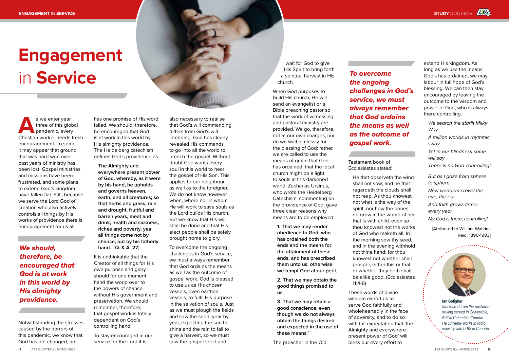# **Engagement**  in **Service**

s we enter year<br>
three of this global<br>
pandemic, every<br>
Christian worker needs fresh three of this global pandemic, every encouragement. To some it may appear that ground that was hard won over past years of ministry has been lost. Gospel ministries and missions have been frustrated, and some plans to extend God's kingdom have fallen flat. Still, because we serve the Lord God of creation who also actively controls all things by His works of providence there is encouragement for us all.

#### *We should, therefore, be encouraged that God is at work in this world by His almighty providence.*

Notwithstanding the stresses caused by the horrors of this pandemic, we know that God has not changed, nor

has one promise of His word failed. We should, therefore, be encouraged that God is at work in this world by His almighty providence. The Heidelberg catechism defines God's providence as:

**The Almighty and everywhere present power of God, whereby, as it were by his hand, he upholds and governs heaven, earth, and all creatures; so that herbs and grass, rain and drought, fruitful and barren years, meat and drink, health and sickness, riches and poverty, yea all things come not by chance, but by his fatherly hand. [Q. & A. 27]**

It is unthinkable that the Creator of all things for His own purpose and glory should for one moment hand the world over to the powers of chance, without His government and preservation. We should remember, therefore, that gospel work is totally dependent on God's controlling hand.

To stay encouraged in our service for the Lord it is

also necessary to realise that God's will commanding differs from God's will intending. God has clearly revealed His commands to go into all the world to preach the gospel. Without doubt God wants every soul in this world to hear the gospel of His Son. This applies to our neighbour as well as to the foreigner. We do not know however, when, where nor in whom He will work to save souls as the Lord builds His church. But we know that His will shall be done and that His elect people shall be safely brought home to glory.

To overcome the ongoing challenges in God's service, we must always remember that God ordains the means as well as the outcome of gospel work. God is pleased to use us as His chosen vessels, even earthen vessels, to fulfil His purpose in the salvation of souls. Just as we must plough the fields and sow the seed, year by year, expecting the sun to shine and the rain to fall to give a harvest, so we must sow the gospel-seed and

wait for God to give His Spirit to bring forth a spiritual harvest in His church.

When God purposes to build His church, He will send an evangelist or a Bible preaching pastor so that the work of witnessing and pastoral ministry are provided. We go, therefore, not at our own charges, nor do we wait aimlessly for the blessing of God; rather, we are called to use the means of grace that God has ordained, that the local church might be a light to souls in this darkened world. Zacharias Ursinus, who wrote the Heidelberg Catechism, commenting on the providence of God, gave three clear reasons why means are to be employed:

**1. That we may render obedience to God, who has ordained both the ends and the means for the attainment of these ends, and has prescribed them unto us, otherwise we tempt God at our peril.**

**2. That we may obtain the good things promised to us.**

**3. That we may retain a good conscience, even though we do not always obtain the things desired and expected in the use of these means."**

The preacher in the Old

*To overcome the ongoing challenges in God's service, we must always remember that God ordains the means as well as the outcome of gospel work.*

#### Testament book of Ecclesiastes stated:

He that observeth the wind shall not sow; and he that regardeth the clouds shall not reap. As thou knowest not what is the way of the spirit, nor how the bones do grow in the womb of her that is with child: even so thou knowest not the works of God who maketh all. In the morning sow thy seed, and in the evening withhold not thine hand: for thou knowest not whether shall prosper, either this or that, or whether they both shall be alike good. (Ecclesiastes 11:4-6)

These words of divine wisdom exhort us to serve God faithfully and wholeheartedly in the face of adversity, and to do so with full expectation that 'the Almighty and everywhere present power of God' will bless our every effort to

extend His kingdom. As long as we use the means God's has ordained, we may labour in full hope of God's blessing. We can then stay encouraged by leaving the outcome to the wisdom and power of God, who is always there controlling.

*We search the starlit Milky Way A million worlds in rhythmic* 

*sway*

*Yet in our blindness some will say*

*There is no God controlling!*

*But as I gaze from sphere to sphere New wonders crowd the eye, the ear And faith grows firmer every year My God is there, controlling!*

[Attributed to William Watkins Reid, 1890-1983]



**Ian Goligher** *has retired from the pastorate having served in Colverdale, British Columbia, Canada. He currently works in radio ministry with LTBS in Canada.*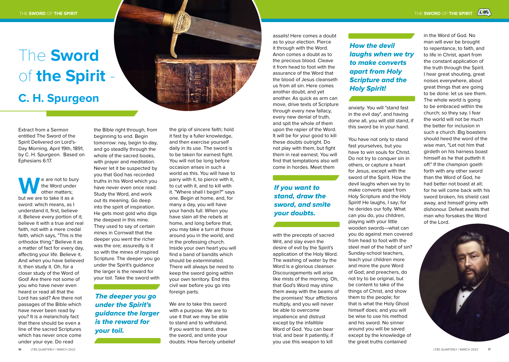# The **Sword** of **the Spirit** - **C. H. Spurgeon**



Extract from a Sermon entitled The Sword of the Spirit Delivered on Lord's-Day Morning, April 19th, 1891, by C. H. Spurgeon. Based on Ephesians 6:17.

**W** the Word under<br>
the Word under<br>
but we are to take it as a the Word under other matters; sword: which means, as I understand it, first, believe it. Believe every portion of it; believe it with a true and real faith, not with a mere credal faith, which says, "This is the orthodox thing." Believe it as a matter of fact for every day, affecting your life. Believe it. And when you have believed it, then study it. Oh, for a closer study of the Word of God! Are there not some of you who have never even heard or read all that the Lord has said? Are there not passages of the Bible which have never been read by you? It is a melancholy fact that there should be even a line of the sacred Scriptures which has never once come under your eye. Do read

beginning to end. Begin tomorrow: nay, begin to-day, and go steadily through the whole of the sacred books, with prayer and meditation. Never let it be suspected by you that God has recorded truths in his Word which you have never even once read. Study the Word, and work out its meaning. Go deep into the spirit of inspiration. He gets most gold who digs the deepest in this mine. They used to say of certain mines in Cornwall that the deeper you went the richer was the ore; assuredly is it so with the mines of inspired Scripture. The deeper you go under the Spirit's guidance the larger is the reward for your toil. Take the sword with

the Bible right through, from

*The deeper you go under the Spirit's guidance the larger is the reward for your toil.*

the grip of sincere faith; hold it fast by a fuller knowledge, and then exercise yourself daily in its use. The sword is to be taken for earnest fight. You will not be long before occasion arises in such a world as this. You will have to parry with it, to pierce with it, to cut with it, and to kill with it. "Where shall I begin?" says one. Begin at home, and, for many a day, you will have your hands full. When you have slain all the rebels at home, and long before that, you may take a turn at those around you in the world, and in the professing church. Inside your own heart you will find a band of bandits which should be exterminated. There will always be need to keep the sword going within your own territory. End this civil war before you go into foreign parts.

We are to take this sword with a purpose. We are to use it that we may be able to stand and to withstand. If you want to stand, draw the sword, and smite your doubts. How fiercely unbelief

assails! Here comes a doubt as to your election. Pierce it through with the Word. Anon comes a doubt as to the precious blood. Cleave it from head to foot with the assurance of the Word that the blood of Jesus cleanseth us from all sin. Here comes another doubt, and yet another. As quick as arm can move, drive texts of Scripture through every new fallacy, every new denial of truth, and spit the whole of them upon the rapier of the Word. It will be for your good to kill these doubts outright. Do not play with them, but fight them in real earnest. You will find that temptations also will come in hordes. Meet them

#### *If you want to stand, draw the sword, and smite your doubts.*

with the precepts of sacred Writ, and slay even the desire of evil by the Spirit's application of the Holy Word. The washing of water by the Word is a glorious cleanser. Discouragements will arise like mists of the morning. Oh, that God's Word may shine them away with the beams of the promises! Your afflictions multiply, and you will never be able to overcome impatience and distrust except by the infallible Word of God. You can bear trial, and bear it patiently, if you use this weapon to kill

#### *How the devil laughs when we try to make converts apart from Holy Scripture and the Holy Spirit!*

anxiety. You will "stand fast in the evil day", and having done all, you will still stand, if this sword be in your hand.

You have not only to stand fast yourselves, but you have to win souls for Christ. Do not try to conquer sin in others, or capture a heart for Jesus, except with the sword of the Spirit. How the devil laughs when we try to make converts apart from Holy Scripture and the Holy Spirit! He laughs, I say; for he derides our folly. What can you do, you children, playing with your little wooden swords—what can you do against men covered from head to foot with the steel mail of the habit of sin? Sunday-school teachers, teach your children more and more the pure Word of God; and preachers, do not try to be original, but be content to take of the things of Christ, and show them to the people; for that is what the Holy Ghost himself does; and you will be wise to use his method and his sword. No sinner around you will be saved except by the knowledge of the great truths contained

in the Word of God. No man will ever be brought to repentance, to faith, and to life in Christ, apart from the constant application of the truth through the Spirit. I hear great shouting, great noises everywhere, about great things that are going to be done: let us see them. The whole world is going to be embraced within the church; so they say. I fear the world will not be much the better for inclusion in such a church. Big boasters should heed the word of the wise man, "Let not him that girdeth on his harness boast himself as he that putteth it off." If the champion goeth forth with any other sword than the Word of God, he had better not boast at all; for he will come back with his sword broken, his shield cast away, and himself grimy with dishonour. Defeat awaits that man who forsakes the Word of the Lord.

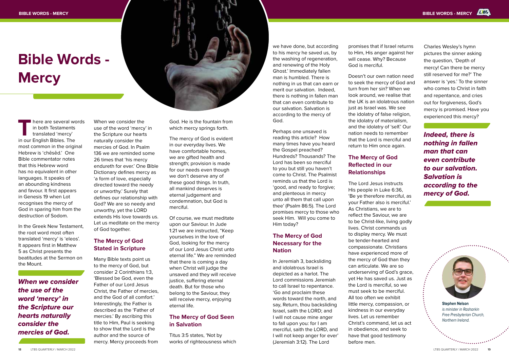## **Bible Words - Mercy**

**There are several words<br>
in both Testaments<br>
translated 'mercy'<br>
in our English Bibles. The** in both Testaments translated 'mercy' most common in the original Hebrew is 'chêsêd.' One Bible commentator notes that this Hebrew word has no equivalent in other languages. It speaks of an abounding kindness and favour. It first appears in Genesis 19 when Lot recognises the mercy of God in sparing him from the destruction of Sodom.

In the Greek New Testament, the root word most often translated 'mercy' is 'eleos'. It appears first in Matthew 5 as Christ presents the beatitudes at the Sermon on the Mount.

*When we consider the use of the word 'mercy' in the Scripture our hearts naturally consider the mercies of God.*

18 LTBS QUARTERLY / MARCH 2022 LTBS QUARTERLY / MARCH 2022 19

When we consider the use of the word 'mercy' in the Scripture our hearts naturally consider the mercies of God. In Psalm 136 we are reminded some 26 times that 'his mercy endureth for ever.' One Bible Dictionary defines mercy as 'a form of love, especially directed toward the needy or unworthy.' Surely that defines our relationship with God? We are so needy and unworthy, yet the LORD extends His love towards us. Let us meditate on the mercy of God together.

#### **The Mercy of God Stated in Scripture**

Many Bible texts point us to the mercy of God, but consider 2 Corinthians 1:3, 'Blessed be God, even the Father of our Lord Jesus Christ, the Father of mercies, and the God of all comfort.' Interestingly, the Father is described as the 'Father of mercies.' By ascribing this title to Him, Paul is seeking to show that the Lord is the author and the source of mercy. Mercy proceeds from

God. He is the fountain from which mercy springs forth.

The mercy of God is evident in our everyday lives. We have comfortable homes, we are gifted health and strength; provision is made for our needs even though we don't deserve any of these good things. In truth, all mankind deserves is eternal judgement and condemnation, but God is merciful.

Of course, we must meditate upon our Saviour. In Jude 1:21 we are instructed, "Keep yourselves in the love of God, looking for the mercy of our Lord Jesus Christ unto eternal life." We are reminded that there is coming a day when Christ will judge the unsaved and they will receive justice, suffering eternal death. But for those who belong to the Saviour, they will receive mercy, enjoying eternal life.

#### **The Mercy of God Seen in Salvation**

Titus 3:5 states, 'Not by works of righteousness which

we have done, but according to his mercy he saved us, by the washing of regeneration, and renewing of the Holy Ghost.' Immediately fallen man is humbled. There is nothing in us that can earn or merit our salvation. Indeed, there is nothing in fallen man that can even contribute to our salvation. Salvation is according to the mercy of God.

Perhaps one unsaved is reading this article? How many times have you heard the Gospel preached? Hundreds? Thousands? The Lord has been so merciful to you but still you haven't come to Christ. The Psalmist reminds us that the Lord is 'good, and ready to forgive; and plenteous in mercy unto all them that call upon thee' (Psalm 86:5). The Lord promises mercy to those who seek Him. Will you come to Him today?

#### **The Mercy of God Necessary for the Nation**

In Jeremiah 3, backsliding and idolatrous Israel is depicted as a harlot. The Lord commissions Jeremiah to call Israel to repentance. 'Go and proclaim these words toward the north, and say, Return, thou backsliding Israel, saith the LORD; and I will not cause mine anger to fall upon you: for I am merciful, saith the LORD, and I will not keep anger for ever' (Jeremiah 3:12). The Lord

promises that if Israel returns to Him, His anger against her will cease. Why? Because God is merciful.

Doesn't our own nation need to seek the mercy of God and turn from her sin? When we look around, we realise that the UK is an idolatrous nation just as Israel was. We see the idolatry of false religion, the idolatry of materialism, and the idolatry of 'self.' Our nation needs to remember that the Lord is merciful and return to Him once again.

#### **The Mercy of God Reflected in our Relationships**

The Lord Jesus instructs His people in Luke 6:36, 'Be ye therefore merciful, as your Father also is merciful.' As Christians, we are to reflect the Saviour, we are to be Christ-like, living godly lives. Christ commands us to display mercy. We must be tender-hearted and compassionate. Christians have experienced more of the mercy of God than they can articulate. We are so underserving of God's grace, yet He has saved us. Just as the Lord is merciful, so we must seek to be merciful. All too often we exhibit little mercy, compassion, or kindness in our everyday lives. Let us remember Christ's command, let us act in obedience, and seek to have that good testimony before men.

Charles Wesley's hymn pictures the sinner asking the question, 'Depth of mercy! Can there be mercy still reserved for me?' The answer is 'yes.' To the sinner who comes to Christ in faith and repentance, and cries out for forgiveness, God's mercy is promised. Have you experienced this mercy?

*Indeed, there is nothing in fallen man that can even contribute to our salvation. Salvation is according to the mercy of God.*

**Stephen Nelson** *is minister in Rasharkin Free Presbyterian Church,* 

*Northern Ireland.*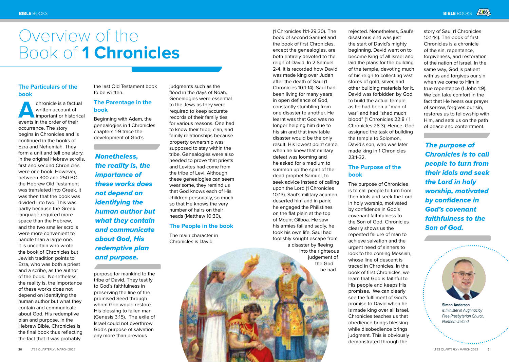# Overview of the Book of **1 Chronicles**

#### **The Particulars of the book**

**A**chronicle is a factual<br>
written account of<br>
important or historica<br>
events in the order of their written account of important or historical occurrence. The story begins in Chronicles and is continued in the books of Ezra and Nehemiah. They form a unit and tell one story. In the original Hebrew scrolls, first and second Chronicles were one book. However, between 300 and 250 BC the Hebrew Old Testament was translated into Greek. It was then that the book was divided into two. This was partly because the Greek language required more space than the Hebrew, and the two smaller scrolls were more convenient to handle than a large one. It is uncertain who wrote the book of Chronicles but Jewish tradition points to Ezra, who was both a priest and a scribe, as the author of the book. Nonetheless, the reality is, the importance of these works does not depend on identifying the human author but what they contain and communicate about God, His redemptive plan and purpose. In the Hebrew Bible, Chronicles is the final book thus reflecting the fact that it was probably

the last Old Testament book to be written.

#### **The Parentage in the book**

Beginning with Adam, the genealogies in 1 Chronicles chapters 1-9 trace the development of God's

*Nonetheless, the reality is, the importance of these works does not depend on identifying the human author but what they contain and communicate about God, His redemptive plan and purpose.*

purpose for mankind to the tribe of David. They testify to God's faithfulness in preserving the line of the promised Seed through whom God would restore His blessing to fallen man (Genesis 3:15). The exile of Israel could not overthrow God's purpose of salvation any more than previous

judgments such as the flood in the days of Noah. Genealogies were essential to the Jews as they were required to keep accurate records of their family ties for various reasons. One had to know their tribe, clan, and family relationships because property ownership was supposed to stay within the tribe. Genealogies were also needed to prove that priests and Levites had come from the tribe of Levi. Although these genealogies can seem wearisome, they remind us that God knows each of His children personally, so much so that He knows the very number of hairs on their heads (Matthew 10:30).

#### **The People in the book**

The main character in Chronicles is David

(1 Chronicles 11:1-29:30). The book of second Samuel and the book of first Chronicles, except the genealogies, are both entirely devoted to the reign of David. In 2 Samuel 2-4, it is recorded how David was made king over Judah after the death of Saul (1 Chronicles 10:1-14). Saul had been living for many years in open defiance of God, constantly stumbling from one disaster to another. He learnt was that God was no longer helping him due to his sin and that inevitable disaster would be the only result. His lowest point came when he knew that military defeat was looming and he asked for a medium to summon up the spirit of the dead prophet Samuel, to seek advice instead of calling upon the Lord (1 Chronicles 10:13). Saul's military acumen deserted him and in panic he engaged the Philistines on the flat plain at the top of Mount Gilboa. He saw his armies fail and sadly, he took his own life. Saul had foolishly sought escape from a disaster by fleeing into the righteous judgement of the God he had

rejected. Nonetheless, Saul's disastrous end was just the start of David's mighty beginning. David went on to become King of all Israel and laid the plans for the building of the temple, devoting much of his reign to collecting vast stores of gold, silver, and other building materials for it. David was forbidden by God to build the actual temple as he had been a "man of war" and had "shed much blood" (1 Chronicles 22:8 / 1 Chronicles 28:3). Hence, God assigned the task of building the temple to Solomon, David's son, who was later made king in 1 Chronicles 23:1-32.

#### **The Purpose of the book**

The purpose of Chronicles is to call people to turn from their idols and seek the Lord in holy worship, motivated by confidence in God's covenant faithfulness to the Son of God. Chronicles clearly shows us the repeated failure of man to achieve salvation and the urgent need of sinners to look to the coming Messiah, whose line of descent is traced in Chronicles. In the book of first Chronicles, we learn that God is faithful to His people and keeps His promises. We can clearly see the fulfilment of God's promise to David when he is made king over all Israel. Chronicles teaches us that obedience brings blessing while disobedience brings judgment. This is obviously demonstrated through the

story of Saul (1 Chronicles 10:1-14). The book of first Chronicles is a chronicle of the sin, repentance, forgiveness, and restoration of the nation of Israel. In the same way, God is patient with us and forgives our sin when we come to Him in true repentance (1 John 1:9). We can take comfort in the fact that He hears our prayer of sorrow, forgives our sin, restores us to fellowship with Him, and sets us on the path of peace and contentment.

*The purpose of Chronicles is to call people to turn from their idols and seek the Lord in holy worship, motivated by confidence in God's covenant faithfulness to the Son of God.*

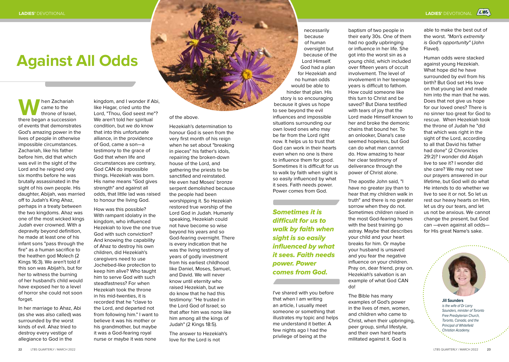### **Against All Odds**

**W** hen Zachariah<br>
there began a succession came to the throne of Israel, of events that demonstrates God's amazing power in the lives of people in otherwise impossible circumstances. Zachariah, like his father before him, did that which was evil in the sight of the Lord and he reigned only six months before he was brutally assassinated in the sight of his own people. His daughter, Abijah, was married off to Judah's King Ahaz, perhaps in a treaty between the two kingdoms. Ahaz was one of the most wicked kings Judah ever crowned. With a depravity beyond definition, he made at least one of his infant sons "pass through the fire" as a human sacrifice to the heathen god Molech (2 Kings 16:3). We aren't told if this son was Abijah's, but for her to witness the burning of her husband's child would have exposed her to a level of horror she could not soon forget.

In her marriage to Ahaz, Abi (as she was also called) was surrounded by the worst kinds of evil. Ahaz tried to destroy every vestige of allegiance to God in the

kingdom, and I wonder if Abi, like Hagar, cried unto the Lord, "Thou, God seest me"? We aren't told her spiritual condition, but we do know that into this unfortunate alliance, in the providence of God, came a son—a testimony to the grace of God that when life and circumstances are contrary, God CAN do impossible things. Hezekiah was born. His name means "God gives strength" and against all odds, that little lad was raised to honour the living God.

How was this possible? With rampant idolatry in the kingdom, who influenced Hezekiah to love the one true God with such conviction? And knowing the capability of Ahaz to destroy his own children, did Hezekiah's caregivers need to use Jochebed-like protection to keep him alive? Who taught him to serve God with such steadfastness? For when Hezekiah took the throne in his mid-twenties, it is recorded that he "clave to the Lord, and departed not from following him." I want to believe it was his mother or his grandmother, but maybe it was a God-fearing royal nurse or maybe it was none

#### of the above.

Hezekiah's determination to honour God is seen from the very first month of his reign when he set about "breaking in pieces" his father's idols, repairing the broken-down house of the Lord, and gathering the priests to be sanctified and reinstated. He even had Moses' bronze serpent demolished because the people had been worshipping it. So Hezekiah restored true worship of the Lord God in Judah. Humanly speaking, Hezekiah could not have become so wise beyond his years and so God-fearing overnight. There is every indication that he was the living testimony of years of godly investment from his earliest childhood like Daniel, Moses, Samuel, and David. We will never know until eternity who raised Hezekiah, but we do know that he had this testimony: "He trusted in the Lord God of Israel; so that after him was none like him among all the kings of Judah" (2 Kings 18:5).

The answer to Hezekiah's love for the Lord is not

necessarily because of human oversight but because of the Lord Himself. God had a plan for Hezekiah and no human odds would be able to hinder that plan. His story is so encouraging because it gives us hope to see beyond the evil influences and impossible situations surrounding our own loved ones who may be far from the Lord right now. It helps us to trust that God can work in their hearts even when no one is there to influence them for good. Sometimes it is difficult for us to walk by faith when sight is so easily influenced by what it sees. Faith needs power. Power comes from God.

*Sometimes it is difficult for us to walk by faith when sight is so easily influenced by what it sees. Faith needs power. Power comes from God.* 

I've shared with you before that when I am writing an article, I usually meet someone or something that illustrates my topic and helps me understand it better. A few nights ago I had the privilege of being at the

baptism of two people in their early 30s. One of them had no godly upbringing or influence in her life. She got into the worst sin as a young child, which included over fifteen years of occult involvement. The level of involvement in her teenage years is difficult to fathom. How could someone like this turn to Christ and be saved? But Diana testified with tears of joy that the Lord made Himself known to her and broke the demonic chains that bound her. To an onlooker, Diana's case seemed hopeless, but God can do what man cannot do. How amazing to hear her clear testimony of deliverance through the power of Christ alone.

The apostle John said, "I have no greater joy than to hear that my children walk in truth" and there is no greater sorrow when they do not. Sometimes children raised in the most God-fearing homes with the best training go astray. Maybe that describes your child and your heart breaks for him. Or maybe your husband is unsaved and you fear the negative influence on your children. Pray on, dear friend, pray on. Hezekiah's salvation is an example of what God CAN do!

The Bible has many examples of God's power in the lives of men, women, and children who came to Christ, when their upbringing, peer group, sinful lifestyle, and their own hard hearts militated against it. God is

able to make the best out of the worst. *"Man's extremity is God's opportunity"* (John Flavel).

Human odds were stacked against young Hezekiah. What hope did he have surrounded by evil from his birth? But God set His love on that young lad and made him into the man that he was. Does that not give us hope for our loved ones? There is no sinner too great for God to rescue. When Hezekiah took the throne of Judah he "did that which was right in the sight of the Lord, according to all that David his father had done" (2 Chronicles 29:2)? I wonder did Abijah live to see it? I wonder did she care? We may not see our prayers answered in our lifetime, but God will do what He intends to do whether we live to see it or not. So let us rest our heavy hearts on Him, let us dry our tears, and let us not be anxious. We cannot change the present, but God can —even against all odds for His great Name's sake.



**Jill Saunders** *is the wife of Dr Larry Saunders, minister of Toronto Free Presbyterian Church, Toronto, Canada, and the Principal of Whitefield Christian Academy.*